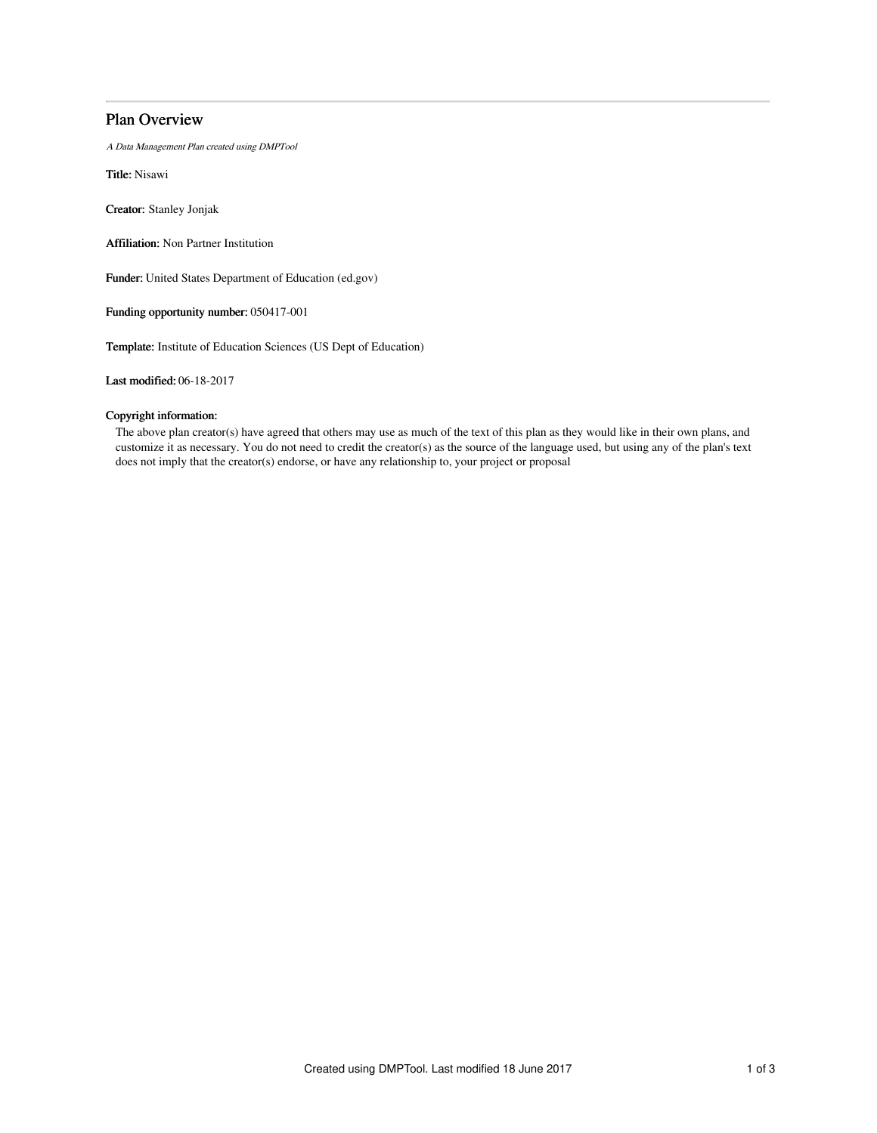# Plan Overview

A Data Management Plan created using DMPTool

Title: Nisawi

Creator: Stanley Jonjak

Affiliation: Non Partner Institution

Funder: United States Department of Education (ed.gov)

Funding opportunity number: 050417-001

Template: Institute of Education Sciences (US Dept of Education)

Last modified: 06-18-2017

# Copyright information:

The above plan creator(s) have agreed that others may use as much of the text of this plan as they would like in their own plans, and customize it as necessary. You do not need to credit the creator(s) as the source of the language used, but using any of the plan's text does not imply that the creator(s) endorse, or have any relationship to, your project or proposal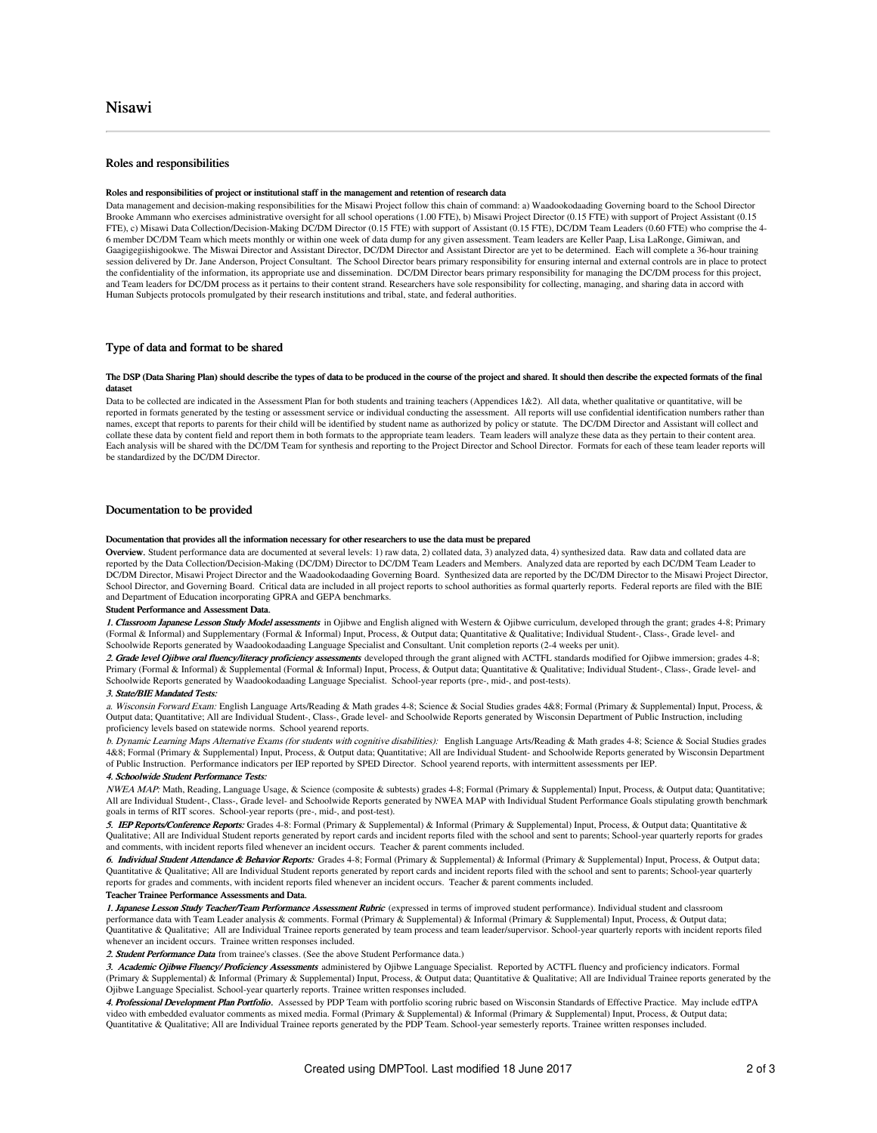# Roles and responsibilities

#### Roles and responsibilities of project or institutional staff in the management and retention of research data

Data management and decision-making responsibilities for the Misawi Project follow this chain of command: a) Waadookodaading Governing board to the School Director Brooke Ammann who exercises administrative oversight for all school operations (1.00 FTE), b) Misawi Project Director (0.15 FTE) with support of Project Assistant (0.15 FTE), c) Misawi Data Collection/Decision-Making DC/DM Director (0.15 FTE) with support of Assistant (0.15 FTE), DC/DM Team Leaders (0.60 FTE) who comprise the 4- 6 member DC/DM Team which meets monthly or within one week of data dump for any given assessment. Team leaders are Keller Paap, Lisa LaRonge, Gimiwan, and<br>Gaagigegiishigookwe. The Miswai Director and Assistant Director, DC session delivered by Dr. Jane Anderson, Project Consultant. The School Director bears primary responsibility for ensuring internal and external controls are in place to protect the confidentiality of the information, its appropriate use and dissemination. DC/DM Director bears primary responsibility for managing the DC/DM process for this project, and Team leaders for DC/DM process as it pertains to their content strand. Researchers have sole responsibility for collecting, managing, and sharing data in accord with Human Subjects protocols promulgated by their research institutions and tribal, state, and federal authorities.

# Type of data and format to be shared

#### The DSP (Data Sharing Plan) should describe the types of data to be produced in the course of the project and shared. It should then describe the expected formats of the final dataset

Data to be collected are indicated in the Assessment Plan for both students and training teachers (Appendices 1&2). All data, whether qualitative or quantitative, will be reported in formats generated by the testing or assessment service or individual conducting the assessment. All reports will use confidential identification numbers rather than names, except that reports to parents for their child will be identified by student name as authorized by policy or statute. The DC/DM Director and Assistant will collect and collate these data by content field and report them in both formats to the appropriate team leaders. Team leaders will analyze these data as they pertain to their content area. Each analysis will be shared with the DC/DM Team for synthesis and reporting to the Project Director and School Director. Formats for each of these team leader reports will be standardized by the DC/DM Director.

# Documentation to be provided

#### Documentation that provides all the information necessary for other researchers to use the data must be prepared

Overview. Student performance data are documented at several levels: 1) raw data, 2) collated data, 3) analyzed data, 4) synthesized data. Raw data and collated data are reported by the Data Collection/Decision-Making (DC/DM) Director to DC/DM Team Leaders and Members. Analyzed data are reported by each DC/DM Team Leader to DC/DM Director, Misawi Project Director and the Waadookodaading Governing Board. Synthesized data are reported by the DC/DM Director to the Misawi Project Director, School Director, and Governing Board. Critical data are included in all project reports to school authorities as formal quarterly reports. Federal reports are filed with the BIE and Department of Education incorporating GPRA and GEPA benchmarks.

#### Student Performance and Assessment Data.

1. Classroom Japanese Lesson Study Model assessments in Ojibwe and English aligned with Western & Ojibwe curriculum, developed through the grant; grades 4-8; Primary (Formal & Informal) and Supplementary (Formal & Informal) Input, Process, & Output data; Quantitative & Qualitative; Individual Student-, Class-, Grade level- and Schoolwide Reports generated by Waadookodaading Language Specialist and Consultant. Unit completion reports (2-4 weeks per unit).

2. Grade level Ojibwe oral fluency/literacy proficiency assessments developed through the grant aligned with ACTFL standards modified for Ojibwe immersion; grades 4-8; Primary (Formal & Informal) & Supplemental (Formal & Informal) Input, Process, & Output data; Quantitative & Qualitative; Individual Student-, Class-, Grade level- and Schoolwide Reports generated by Waadookodaading Language Specialist. School-year reports (pre-, mid-, and post-tests).

#### 3. State/BIE Mandated Tests:

a. Wisconsin Forward Exam: English Language Arts/Reading & Math grades 4-8; Science & Social Studies grades 4&8; Formal (Primary & Supplemental) Input, Process, & Output data; Quantitative; All are Individual Student-, Class-, Grade level- and Schoolwide Reports generated by Wisconsin Department of Public Instruction, including proficiency levels based on statewide norms. School yearend reports.

b. Dynamic Learning Maps Alternative Exams (for students with cognitive disabilities): English Language Arts/Reading & Math grades 4-8; Science & Social Studies grades 4&8; Formal (Primary & Supplemental) Input, Process, & Output data; Quantitative; All are Individual Student- and Schoolwide Reports generated by Wisconsin Department of Public Instruction. Performance indicators per IEP reported by SPED Director. School yearend reports, with intermittent assessments per IEP.

## 4. Schoolwide Student Performance Tests:

NWEA MAP: Math, Reading, Language Usage, & Science (composite & subtests) grades 4-8; Formal (Primary & Supplemental) Input, Process, & Output data; Quantitative; All are Individual Student-, Class-, Grade level- and Schoolwide Reports generated by NWEA MAP with Individual Student Performance Goals stipulating growth benchmark goals in terms of RIT scores. School-year reports (pre-, mid-, and post-test).

5. IEP Reports/Conference Reports: Grades 4-8: Formal (Primary & Supplemental) & Informal (Primary & Supplemental) Input, Process, & Output data; Quantitative & Qualitative; All are Individual Student reports generated by report cards and incident reports filed with the school and sent to parents; School-year quarterly reports for grades and comments, with incident reports filed whenever an incident occurs. Teacher & parent comments included.

6. Individual Student Attendance & Behavior Reports: Grades 4-8; Formal (Primary & Supplemental) & Informal (Primary & Supplemental) Input, Process, & Output data; Quantitative & Qualitative; All are Individual Student reports generated by report cards and incident reports filed with the school and sent to parents; School-year quarterly reports for grades and comments, with incident reports filed whenever an incident occurs. Teacher & parent comments included.

## Teacher Trainee Performance Assessments and Data.

1. Japanese Lesson Study Teacher/Team Performance Assessment Rubric (expressed in terms of improved student performance). Individual student and classroom performance data with Team Leader analysis & comments. Formal (Primary & Supplemental) & Informal (Primary & Supplemental) Input, Process, & Output data; Quantitative & Qualitative; All are Individual Trainee reports generated by team process and team leader/supervisor. School-year quarterly reports with incident reports filed whenever an incident occurs. Trainee written responses included.

2. Student Performance Data from trainee's classes. (See the above Student Performance data.)

3. Academic Ojibwe Fluency/ Proficiency Assessments administered by Ojibwe Language Specialist. Reported by ACTFL fluency and proficiency indicators. Formal (Primary & Supplemental) & Informal (Primary & Supplemental) Input, Process, & Output data; Quantitative & Qualitative; All are Individual Trainee reports generated by the Ojibwe Language Specialist. School-year quarterly reports. Trainee written responses included.

4. Professional Development Plan Portfolio. Assessed by PDP Team with portfolio scoring rubric based on Wisconsin Standards of Effective Practice. May include edTPA video with embedded evaluator comments as mixed media. Formal (Primary & Supplemental) & Informal (Primary & Supplemental) Input, Process, & Output data;<br>Quantitative & Qualitative; All are Individual Trainee reports gener